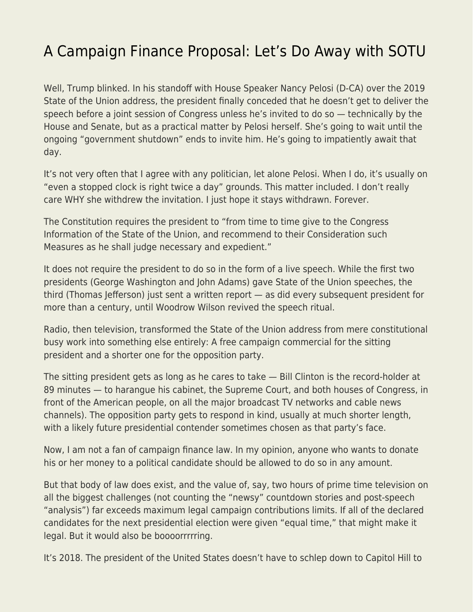## [A Campaign Finance Proposal: Let's Do Away with SOTU](https://everything-voluntary.com/a-campaign-finance-proposal-lets-do-away-with-sotu)

Well, Trump blinked. In his standoff with House Speaker Nancy Pelosi (D-CA) over the 2019 State of the Union address, the president finally conceded that he doesn't get to deliver the speech before a joint session of Congress unless he's invited to do so — technically by the House and Senate, but as a practical matter by Pelosi herself. She's going to wait until the ongoing "government shutdown" ends to invite him. He's going to impatiently await that day.

It's not very often that I agree with any politician, let alone Pelosi. When I do, it's usually on "even a stopped clock is right twice a day" grounds. This matter included. I don't really care WHY she withdrew the invitation. I just hope it stays withdrawn. Forever.

The Constitution requires the president to "from time to time give to the Congress Information of the State of the Union, and recommend to their Consideration such Measures as he shall judge necessary and expedient."

It does not require the president to do so in the form of a live speech. While the first two presidents (George Washington and John Adams) gave State of the Union speeches, the third (Thomas Jefferson) just sent a written report — as did every subsequent president for more than a century, until Woodrow Wilson revived the speech ritual.

Radio, then television, transformed the State of the Union address from mere constitutional busy work into something else entirely: A free campaign commercial for the sitting president and a shorter one for the opposition party.

The sitting president gets as long as he cares to take — Bill Clinton is the record-holder at 89 minutes — to harangue his cabinet, the Supreme Court, and both houses of Congress, in front of the American people, on all the major broadcast TV networks and cable news channels). The opposition party gets to respond in kind, usually at much shorter length, with a likely future presidential contender sometimes chosen as that party's face.

Now, I am not a fan of campaign finance law. In my opinion, anyone who wants to donate his or her money to a political candidate should be allowed to do so in any amount.

But that body of law does exist, and the value of, say, two hours of prime time television on all the biggest challenges (not counting the "newsy" countdown stories and post-speech "analysis") far exceeds maximum legal campaign contributions limits. If all of the declared candidates for the next presidential election were given "equal time," that might make it legal. But it would also be boooorrrrring.

It's 2018. The president of the United States doesn't have to schlep down to Capitol Hill to